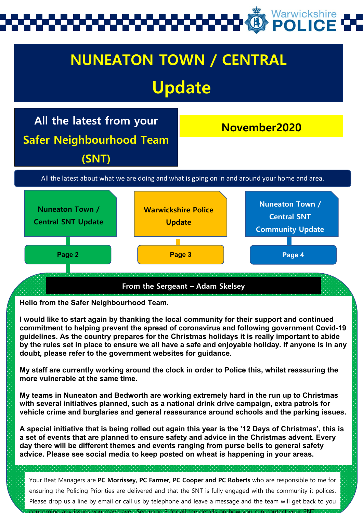# Warwickshire



**Hello from the Safer Neighbourhood Team.** 

**I would like to start again by thanking the local community for their support and continued commitment to helping prevent the spread of coronavirus and following government Covid-19 guidelines. As the country prepares for the Christmas holidays it is really important to abide by the rules set in place to ensure we all have a safe and enjoyable holiday. If anyone is in any doubt, please refer to the government websites for guidance.**

**My staff are currently working around the clock in order to Police this, whilst reassuring the more vulnerable at the same time.**

**My teams in Nuneaton and Bedworth are working extremely hard in the run up to Christmas with several initiatives planned, such as a national drink drive campaign, extra patrols for vehicle crime and burglaries and general reassurance around schools and the parking issues.**

**A special initiative that is being rolled out again this year is the '12 Days of Christmas', this is a set of events that are planned to ensure safety and advice in the Christmas advent. Every day there will be different themes and events ranging from purse bells to general safety advice. Please see social media to keep posted on wheat is happening in your areas.**

Your Beat Managers are **PC Morrissey, PC Farmer, PC Cooper and PC Roberts** who are responsible to me for ensuring the Policing Priorities are delivered and that the SNT is fully engaged with the community it polices. Please drop us a line by email or call us by telephone and leave a message and the team will get back to you

concerning any issues you may have See page 3 for all the details on how you can contact your SNT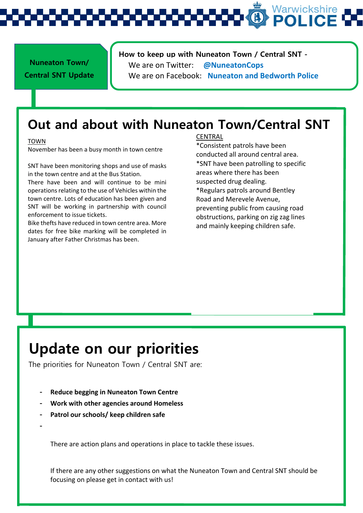Warwickshire

### **How to keep up with Nuneaton Town / Central SNT -**

**Nuneaton Town/ Central SNT Update**  We are on Twitter: **@NuneatonCops** We are on Facebook: **Nuneaton and Bedworth Police**

## **Out and about with Nuneaton Town/Central SNT**

### TOWN

November has been a busy month in town centre

SNT have been monitoring shops and use of masks in the town centre and at the Bus Station.

There have been and will continue to be mini operations relating to the use of Vehicles within the town centre. Lots of education has been given and SNT will be working in partnership with council enforcement to issue tickets.

Bike thefts have reduced in town centre area. More dates for free bike marking will be completed in January after Father Christmas has been.

### CENTRAL

\*Consistent patrols have been conducted all around central area. \*SNT have been patrolling to specific areas where there has been suspected drug dealing. \*Regulars patrols around Bentley Road and Merevele Avenue, preventing public from causing road

obstructions, parking on zig zag lines and mainly keeping children safe.

## **Update on our priorities**

The priorities for Nuneaton Town / Central SNT are:

- **- Reduce begging in Nuneaton Town Centre**
- **- Work with other agencies around Homeless**
- **- Patrol our schools/ keep children safe**
- **-**

There are action plans and operations in place to tackle these issues.

If there are any other suggestions on what the Nuneaton Town and Central SNT should be focusing on please get in contact with us!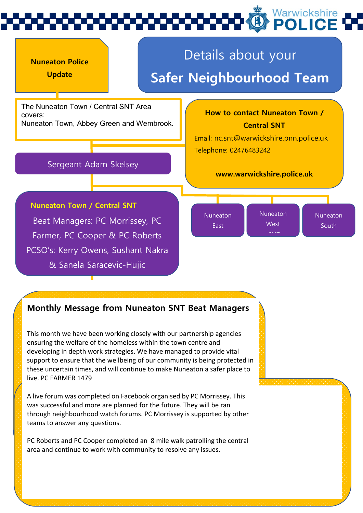

## **Monthly Message from Nuneaton SNT Beat Managers**

This month we have been working closely with our partnership agencies ensuring the welfare of the homeless within the town centre and developing in depth work strategies. We have managed to provide vital support to ensure that the wellbeing of our community is being protected in these uncertain times, and will continue to make Nuneaton a safer place to live. PC FARMER 1479

A live forum was completed on Facebook organised by PC Morrissey. This was successful and more are planned for the future. They will be ran through neighbourhood watch forums. PC Morrissey is supported by other teams to answer any questions.

PC Roberts and PC Cooper completed an 8 mile walk patrolling the central area and continue to work with community to resolve any issues.